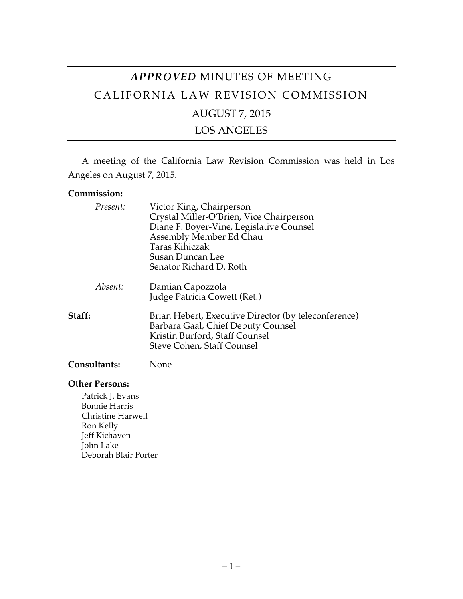# *APPROVED* MINUTES OF MEETING CALIFORNIA LAW REVISION COMMISSION AUGUST 7, 2015 LOS ANGELES

A meeting of the California Law Revision Commission was held in Los Angeles on August 7, 2015.

### **Commission:**

| Present:            | Victor King, Chairperson<br>Crystal Miller-O'Brien, Vice Chairperson<br>Diane F. Boyer-Vine, Legislative Counsel<br>Assembly Member Ed Chau<br><b>Taras Kihiczak</b><br>Susan Duncan Lee<br>Senator Richard D. Roth |
|---------------------|---------------------------------------------------------------------------------------------------------------------------------------------------------------------------------------------------------------------|
| Absent:             | Damian Capozzola<br>Judge Patricia Cowett (Ret.)                                                                                                                                                                    |
| Staff:              | Brian Hebert, Executive Director (by teleconference)<br>Barbara Gaal, Chief Deputy Counsel<br>Kristin Burford, Staff Counsel<br>Steve Cohen, Staff Counsel                                                          |
| <b>Consultants:</b> | None                                                                                                                                                                                                                |

#### **Other Persons:**

Patrick J. Evans Bonnie Harris Christine Harwell Ron Kelly Jeff Kichaven John Lake Deborah Blair Porter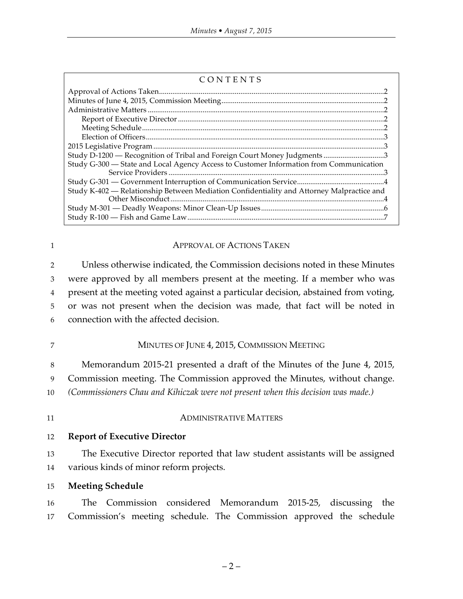| CONTENTS                                                                                  |  |
|-------------------------------------------------------------------------------------------|--|
|                                                                                           |  |
|                                                                                           |  |
|                                                                                           |  |
|                                                                                           |  |
|                                                                                           |  |
|                                                                                           |  |
|                                                                                           |  |
| Study D-1200 — Recognition of Tribal and Foreign Court Money Judgments 3                  |  |
| Study G-300 - State and Local Agency Access to Customer Information from Communication    |  |
|                                                                                           |  |
| Study K-402 - Relationship Between Mediation Confidentiality and Attorney Malpractice and |  |
|                                                                                           |  |
|                                                                                           |  |

| 1  | <b>APPROVAL OF ACTIONS TAKEN</b>                                                   |  |
|----|------------------------------------------------------------------------------------|--|
| 2  | Unless otherwise indicated, the Commission decisions noted in these Minutes        |  |
| 3  | were approved by all members present at the meeting. If a member who was           |  |
| 4  | present at the meeting voted against a particular decision, abstained from voting, |  |
| 5  | or was not present when the decision was made, that fact will be noted in          |  |
| 6  | connection with the affected decision.                                             |  |
| 7  | MINUTES OF JUNE 4, 2015, COMMISSION MEETING                                        |  |
| 8  | Memorandum 2015-21 presented a draft of the Minutes of the June 4, 2015,           |  |
| 9  | Commission meeting. The Commission approved the Minutes, without change.           |  |
| 10 | (Commissioners Chau and Kihiczak were not present when this decision was made.)    |  |
| 11 | <b>ADMINISTRATIVE MATTERS</b>                                                      |  |
| 12 | <b>Report of Executive Director</b>                                                |  |
| 13 | The Executive Director reported that law student assistants will be assigned       |  |
| 14 | various kinds of minor reform projects.                                            |  |

15 **Meeting Schedule**

16 The Commission considered Memorandum 2015-25, discussing the 17 Commission's meeting schedule. The Commission approved the schedule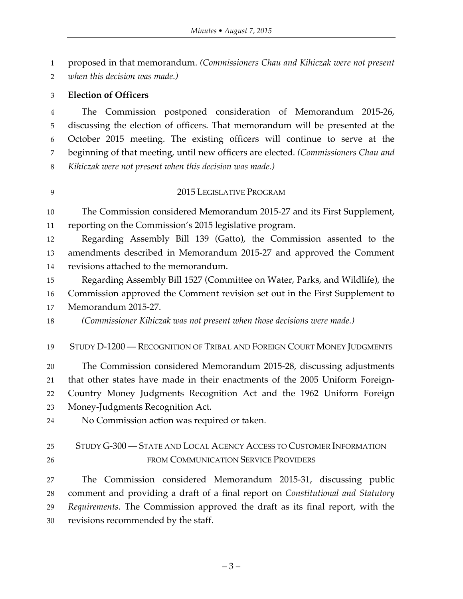proposed in that memorandum. *(Commissioners Chau and Kihiczak were not present* 

*when this decision was made.)*

### **Election of Officers**

 The Commission postponed consideration of Memorandum 2015-26, discussing the election of officers. That memorandum will be presented at the October 2015 meeting. The existing officers will continue to serve at the beginning of that meeting, until new officers are elected. *(Commissioners Chau and Kihiczak were not present when this decision was made.)*

### 2015 LEGISLATIVE PROGRAM

 The Commission considered Memorandum 2015-27 and its First Supplement, reporting on the Commission's 2015 legislative program.

 Regarding Assembly Bill 139 (Gatto), the Commission assented to the amendments described in Memorandum 2015-27 and approved the Comment revisions attached to the memorandum.

 Regarding Assembly Bill 1527 (Committee on Water, Parks, and Wildlife), the Commission approved the Comment revision set out in the First Supplement to

Memorandum 2015-27.

*(Commissioner Kihiczak was not present when those decisions were made.)*

STUDY D-1200 — RECOGNITION OF TRIBAL AND FOREIGN COURT MONEY JUDGMENTS

 The Commission considered Memorandum 2015-28, discussing adjustments that other states have made in their enactments of the 2005 Uniform Foreign- Country Money Judgments Recognition Act and the 1962 Uniform Foreign Money-Judgments Recognition Act.

No Commission action was required or taken.

# STUDY G-300 — STATE AND LOCAL AGENCY ACCESS TO CUSTOMER INFORMATION FROM COMMUNICATION SERVICE PROVIDERS

 The Commission considered Memorandum 2015-31, discussing public comment and providing a draft of a final report on *Constitutional and Statutory Requirements*. The Commission approved the draft as its final report, with the revisions recommended by the staff.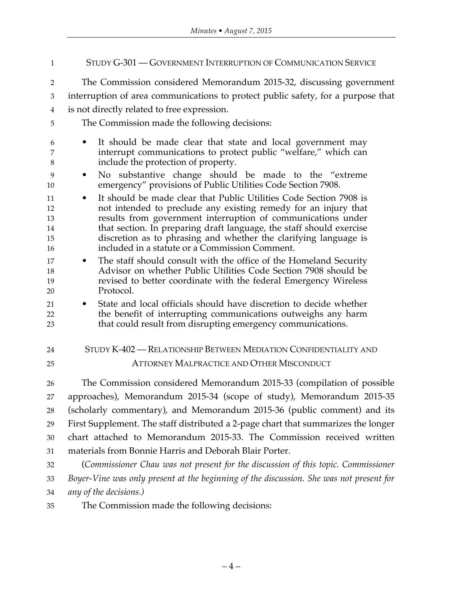STUDY G-301 — GOVERNMENT INTERRUPTION OF COMMUNICATION SERVICE The Commission considered Memorandum 2015-32, discussing government interruption of area communications to protect public safety, for a purpose that is not directly related to free expression. The Commission made the following decisions: • It should be made clear that state and local government may interrupt communications to protect public "welfare," which can include the protection of property. • No substantive change should be made to the "extreme emergency" provisions of Public Utilities Code Section 7908. • It should be made clear that Public Utilities Code Section 7908 is not intended to preclude any existing remedy for an injury that results from government interruption of communications under that section. In preparing draft language, the staff should exercise discretion as to phrasing and whether the clarifying language is included in a statute or a Commission Comment. • The staff should consult with the office of the Homeland Security Advisor on whether Public Utilities Code Section 7908 should be revised to better coordinate with the federal Emergency Wireless Protocol. • State and local officials should have discretion to decide whether the benefit of interrupting communications outweighs any harm that could result from disrupting emergency communications. STUDY K-402 — RELATIONSHIP BETWEEN MEDIATION CONFIDENTIALITY AND ATTORNEY MALPRACTICE AND OTHER MISCONDUCT The Commission considered Memorandum 2015-33 (compilation of possible approaches), Memorandum 2015-34 (scope of study), Memorandum 2015-35 (scholarly commentary), and Memorandum 2015-36 (public comment) and its First Supplement. The staff distributed a 2-page chart that summarizes the longer chart attached to Memorandum 2015-33. The Commission received written materials from Bonnie Harris and Deborah Blair Porter. (*Commissioner Chau was not present for the discussion of this topic. Commissioner Boyer-Vine was only present at the beginning of the discussion. She was not present for any of the decisions.)*

The Commission made the following decisions: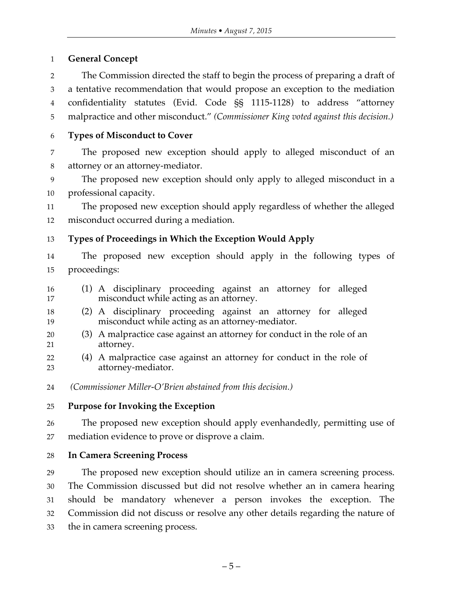# **General Concept**

 The Commission directed the staff to begin the process of preparing a draft of a tentative recommendation that would propose an exception to the mediation confidentiality statutes (Evid. Code §§ 1115-1128) to address "attorney malpractice and other misconduct." *(Commissioner King voted against this decision.)*

# **Types of Misconduct to Cover**

 The proposed new exception should apply to alleged misconduct of an attorney or an attorney-mediator.

 The proposed new exception should only apply to alleged misconduct in a professional capacity.

 The proposed new exception should apply regardless of whether the alleged misconduct occurred during a mediation.

**Types of Proceedings in Which the Exception Would Apply**

 The proposed new exception should apply in the following types of proceedings:

- (1) A disciplinary proceeding against an attorney for alleged misconduct while acting as an attorney.
- (2) A disciplinary proceeding against an attorney for alleged misconduct while acting as an attorney-mediator.
- (3) A malpractice case against an attorney for conduct in the role of an attorney.
- (4) A malpractice case against an attorney for conduct in the role of attorney-mediator.
- *(Commissioner Miller-O'Brien abstained from this decision.)*

# **Purpose for Invoking the Exception**

 The proposed new exception should apply evenhandedly, permitting use of mediation evidence to prove or disprove a claim.

**In Camera Screening Process**

 The proposed new exception should utilize an in camera screening process. The Commission discussed but did not resolve whether an in camera hearing should be mandatory whenever a person invokes the exception. The Commission did not discuss or resolve any other details regarding the nature of the in camera screening process.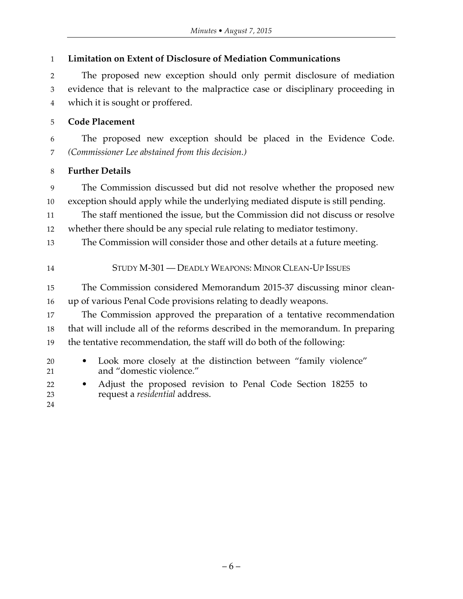| $\mathbf{1}$   | <b>Limitation on Extent of Disclosure of Mediation Communications</b>                                               |
|----------------|---------------------------------------------------------------------------------------------------------------------|
| $\overline{2}$ | The proposed new exception should only permit disclosure of mediation                                               |
| 3<br>4         | evidence that is relevant to the malpractice case or disciplinary proceeding in<br>which it is sought or proffered. |
| 5              | <b>Code Placement</b>                                                                                               |
| 6              | The proposed new exception should be placed in the Evidence Code.                                                   |
| 7              | (Commissioner Lee abstained from this decision.)                                                                    |
| $\,8\,$        | <b>Further Details</b>                                                                                              |
| 9              | The Commission discussed but did not resolve whether the proposed new                                               |
| 10             | exception should apply while the underlying mediated dispute is still pending.                                      |
| 11             | The staff mentioned the issue, but the Commission did not discuss or resolve                                        |
| 12             | whether there should be any special rule relating to mediator testimony.                                            |
| 13             | The Commission will consider those and other details at a future meeting.                                           |
| 14             | STUDY M-301 — DEADLY WEAPONS: MINOR CLEAN-UP ISSUES                                                                 |
| 15             | The Commission considered Memorandum 2015-37 discussing minor clean-                                                |
| 16             | up of various Penal Code provisions relating to deadly weapons.                                                     |
| 17             | The Commission approved the preparation of a tentative recommendation                                               |
| 18             | that will include all of the reforms described in the memorandum. In preparing                                      |
| 19             | the tentative recommendation, the staff will do both of the following:                                              |
| 20             | Look more closely at the distinction between "family violence"<br>$\bullet$                                         |
| 21             | and "domestic violence."                                                                                            |
| 22<br>23       | Adjust the proposed revision to Penal Code Section 18255 to<br>request a residential address.                       |
| 24             |                                                                                                                     |